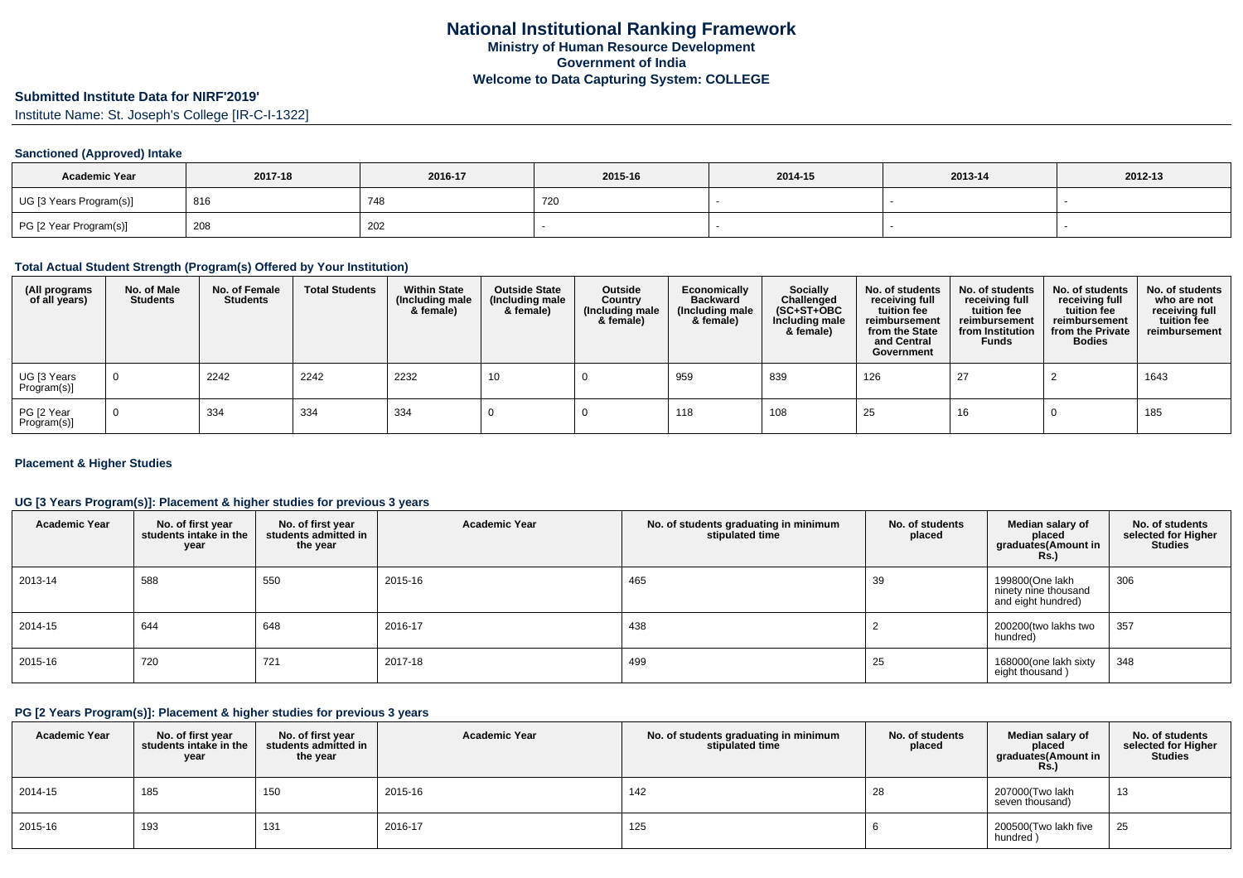# **Submitted Institute Data for NIRF'2019'**

Institute Name: St. Joseph's College [IR-C-I-1322]

### **Sanctioned (Approved) Intake**

| <b>Academic Year</b>    | 2017-18 | 2016-17 | 2015-16 | 2014-15 | 2013-14 | 2012-13 |
|-------------------------|---------|---------|---------|---------|---------|---------|
| UG [3 Years Program(s)] | 816     | 748     | 720     |         |         |         |
| PG [2 Year Program(s)]  | 208     | 202     |         |         |         |         |

#### **Total Actual Student Strength (Program(s) Offered by Your Institution)**

| (All programs<br>of all years) | No. of Male<br><b>Students</b> | No. of Female<br>Students | <b>Total Students</b> | <b>Within State</b><br>(Including male<br>& female) | <b>Outside State</b><br>(Including male<br>& female) | Outside<br>Country<br>(Including male<br>& female) | Economically<br><b>Backward</b><br>(Including male<br>& female) | <b>Socially</b><br>Challenged<br>$(SC+ST+OBC)$<br>Including male<br>& female) | No. of students<br>receiving full<br>tuition fee<br>reimbursement<br>from the State<br>and Central<br>Government | No. of students<br>receiving full<br>tuition fee<br>reimbursement<br>from Institution<br><b>Funds</b> | No. of students<br>receiving full<br>tuition fee<br>reimbursement<br>from the Private<br><b>Bodies</b> | No. of students<br>who are not<br>receiving full<br>tuition fee<br>reimbursement |
|--------------------------------|--------------------------------|---------------------------|-----------------------|-----------------------------------------------------|------------------------------------------------------|----------------------------------------------------|-----------------------------------------------------------------|-------------------------------------------------------------------------------|------------------------------------------------------------------------------------------------------------------|-------------------------------------------------------------------------------------------------------|--------------------------------------------------------------------------------------------------------|----------------------------------------------------------------------------------|
| UG [3 Years<br>Program(s)]     | $\overline{0}$                 | 2242                      | 2242                  | 2232                                                | 10                                                   |                                                    | 959                                                             | 839                                                                           | 126                                                                                                              | 27                                                                                                    |                                                                                                        | 1643                                                                             |
| PG [2 Year<br>Program(s)]      | $\overline{0}$                 | 334                       | 334                   | 334                                                 |                                                      |                                                    | 118                                                             | 108                                                                           | 25                                                                                                               | 16                                                                                                    |                                                                                                        | 185                                                                              |

#### **Placement & Higher Studies**

### **UG [3 Years Program(s)]: Placement & higher studies for previous 3 years**

| <b>Academic Year</b> | No. of first year<br>students intake in the<br>year | No. of first year<br>students admitted in<br>the year | <b>Academic Year</b> | No. of students graduating in minimum<br>stipulated time | No. of students<br>placed | Median salary of<br>placed<br>graduates(Amount in<br><b>Rs.)</b> | No. of students<br>selected for Higher<br><b>Studies</b> |
|----------------------|-----------------------------------------------------|-------------------------------------------------------|----------------------|----------------------------------------------------------|---------------------------|------------------------------------------------------------------|----------------------------------------------------------|
| 2013-14              | 588                                                 | 550                                                   | 2015-16              | 465                                                      | 39                        | 199800(One lakh<br>ninety nine thousand<br>and eight hundred)    | 306                                                      |
| 2014-15              | 644                                                 | 648                                                   | 2016-17              | 438                                                      |                           | 200200(two lakhs two<br>hundred)                                 | 357                                                      |
| 2015-16              | 720                                                 | 721                                                   | 2017-18              | 499                                                      | 25                        | 168000(one lakh sixty<br>eight thousand)                         | 348                                                      |

#### **PG [2 Years Program(s)]: Placement & higher studies for previous 3 years**

| <b>Academic Year</b> | No. of first year<br>students intake in the<br>year | No. of first year<br>students admitted in<br>the year | <b>Academic Year</b> | No. of students graduating in minimum<br>stipulated time | No. of students<br>placed | Median salary of<br>placed<br>graduates(Amount in<br><b>Rs.)</b> | No. of students<br>selected for Higher<br><b>Studies</b> |
|----------------------|-----------------------------------------------------|-------------------------------------------------------|----------------------|----------------------------------------------------------|---------------------------|------------------------------------------------------------------|----------------------------------------------------------|
| 2014-15              | 185                                                 | 150                                                   | 2015-16              | 142                                                      | 28                        | 207000(Two lakh<br>seven thousand)                               | 13                                                       |
| 2015-16              | 193                                                 | 131                                                   | 2016-17              | 125                                                      |                           | 200500(Two lakh five<br>hundred)                                 | 25                                                       |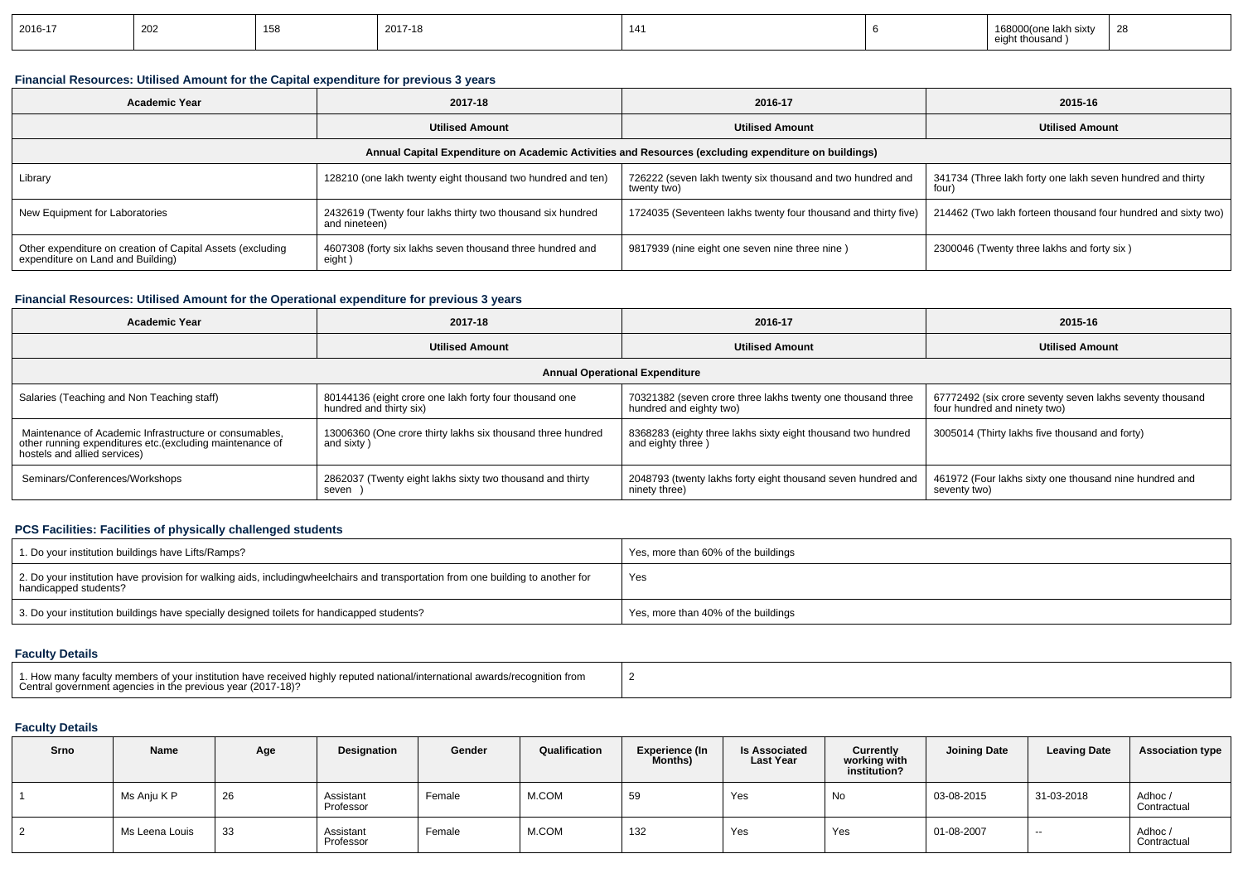| 2016-17 | 202 | 158<br>טטו | 2017-18 | 141 |  | 168000(one lakh sixty<br>nt thousano<br>eiar | 28 |
|---------|-----|------------|---------|-----|--|----------------------------------------------|----|
|---------|-----|------------|---------|-----|--|----------------------------------------------|----|

### **Financial Resources: Utilised Amount for the Capital expenditure for previous 3 years**

| <b>Academic Year</b>                                                                                 | 2017-18                                                                     | 2016-17                                                                   | 2015-16                                                             |  |  |  |  |  |  |  |  |  |
|------------------------------------------------------------------------------------------------------|-----------------------------------------------------------------------------|---------------------------------------------------------------------------|---------------------------------------------------------------------|--|--|--|--|--|--|--|--|--|
|                                                                                                      | <b>Utilised Amount</b>                                                      | <b>Utilised Amount</b>                                                    | <b>Utilised Amount</b>                                              |  |  |  |  |  |  |  |  |  |
| Annual Capital Expenditure on Academic Activities and Resources (excluding expenditure on buildings) |                                                                             |                                                                           |                                                                     |  |  |  |  |  |  |  |  |  |
| 128210 (one lakh twenty eight thousand two hundred and ten)<br>Library                               |                                                                             | 726222 (seven lakh twenty six thousand and two hundred and<br>twenty two) | 341734 (Three lakh forty one lakh seven hundred and thirty<br>four) |  |  |  |  |  |  |  |  |  |
| New Equipment for Laboratories                                                                       | 2432619 (Twenty four lakhs thirty two thousand six hundred<br>and nineteen) | 1724035 (Seventeen lakhs twenty four thousand and thirty five)            | 214462 (Two lakh forteen thousand four hundred and sixty two)       |  |  |  |  |  |  |  |  |  |
| Other expenditure on creation of Capital Assets (excluding<br>expenditure on Land and Building)      | 4607308 (forty six lakhs seven thousand three hundred and<br>eight )        | 9817939 (nine eight one seven nine three nine)                            | 2300046 (Twenty three lakhs and forty six)                          |  |  |  |  |  |  |  |  |  |

#### **Financial Resources: Utilised Amount for the Operational expenditure for previous 3 years**

| <b>Academic Year</b>                                                                                                                                | 2017-18                                                                           | 2016-17                                                                                | 2015-16                                                                                  |  |  |  |  |  |  |  |  |  |
|-----------------------------------------------------------------------------------------------------------------------------------------------------|-----------------------------------------------------------------------------------|----------------------------------------------------------------------------------------|------------------------------------------------------------------------------------------|--|--|--|--|--|--|--|--|--|
|                                                                                                                                                     | <b>Utilised Amount</b>                                                            | <b>Utilised Amount</b>                                                                 | <b>Utilised Amount</b>                                                                   |  |  |  |  |  |  |  |  |  |
| <b>Annual Operational Expenditure</b>                                                                                                               |                                                                                   |                                                                                        |                                                                                          |  |  |  |  |  |  |  |  |  |
| Salaries (Teaching and Non Teaching staff)                                                                                                          | 80144136 (eight crore one lakh forty four thousand one<br>hundred and thirty six) | 70321382 (seven crore three lakhs twenty one thousand three<br>hundred and eighty two) | 67772492 (six crore seventy seven lakhs seventy thousand<br>four hundred and ninety two) |  |  |  |  |  |  |  |  |  |
| Maintenance of Academic Infrastructure or consumables,<br>other running expenditures etc. (excluding maintenance of<br>hostels and allied services) | 13006360 (One crore thirty lakhs six thousand three hundred<br>and sixty)         | 8368283 (eighty three lakhs sixty eight thousand two hundred<br>and eighty three)      | 3005014 (Thirty lakhs five thousand and forty)                                           |  |  |  |  |  |  |  |  |  |
| Seminars/Conferences/Workshops                                                                                                                      | 2862037 (Twenty eight lakhs sixty two thousand and thirty<br>seven                | 2048793 (twenty lakhs forty eight thousand seven hundred and<br>ninety three)          | 461972 (Four lakhs sixty one thousand nine hundred and<br>seventy two)                   |  |  |  |  |  |  |  |  |  |

#### **PCS Facilities: Facilities of physically challenged students**

| 1. Do your institution buildings have Lifts/Ramps?                                                                                                        | Yes, more than 60% of the buildings |
|-----------------------------------------------------------------------------------------------------------------------------------------------------------|-------------------------------------|
| 2. Do your institution have provision for walking aids, includingwheelchairs and transportation from one building to another for<br>handicapped students? | Yes                                 |
| 3. Do your institution buildings have specially designed toilets for handicapped students?                                                                | Yes, more than 40% of the buildings |

## **Faculty Details**

| 1. How many faculty members of your institution have received highly reputed national/international awards/recognition from<br>Central government agencies in the previous year (2017-18)? |  |
|--------------------------------------------------------------------------------------------------------------------------------------------------------------------------------------------|--|
|--------------------------------------------------------------------------------------------------------------------------------------------------------------------------------------------|--|

### **Faculty Details**

| Srno | Name           | Age | Designation            | Gender | Qualification | <b>Experience (In</b><br><b>Months)</b> | <b>Is Associated</b><br><b>Last Year</b> | <b>Currently</b><br>working with<br>institution? | <b>Joining Date</b> | <b>Leaving Date</b> | <b>Association type</b> |
|------|----------------|-----|------------------------|--------|---------------|-----------------------------------------|------------------------------------------|--------------------------------------------------|---------------------|---------------------|-------------------------|
|      | Ms Anju K P    | 26  | Assistant<br>Professor | Female | M.COM         | 59                                      | Yes                                      | No                                               | 03-08-2015          | 31-03-2018          | Adhoc/<br>Contractual   |
|      | Ms Leena Louis | 33  | Assistant<br>Professor | Female | M.COM         | 132                                     | Yes                                      | Yes                                              | 01-08-2007          | $\sim$              | Adhoc/<br>Contractual   |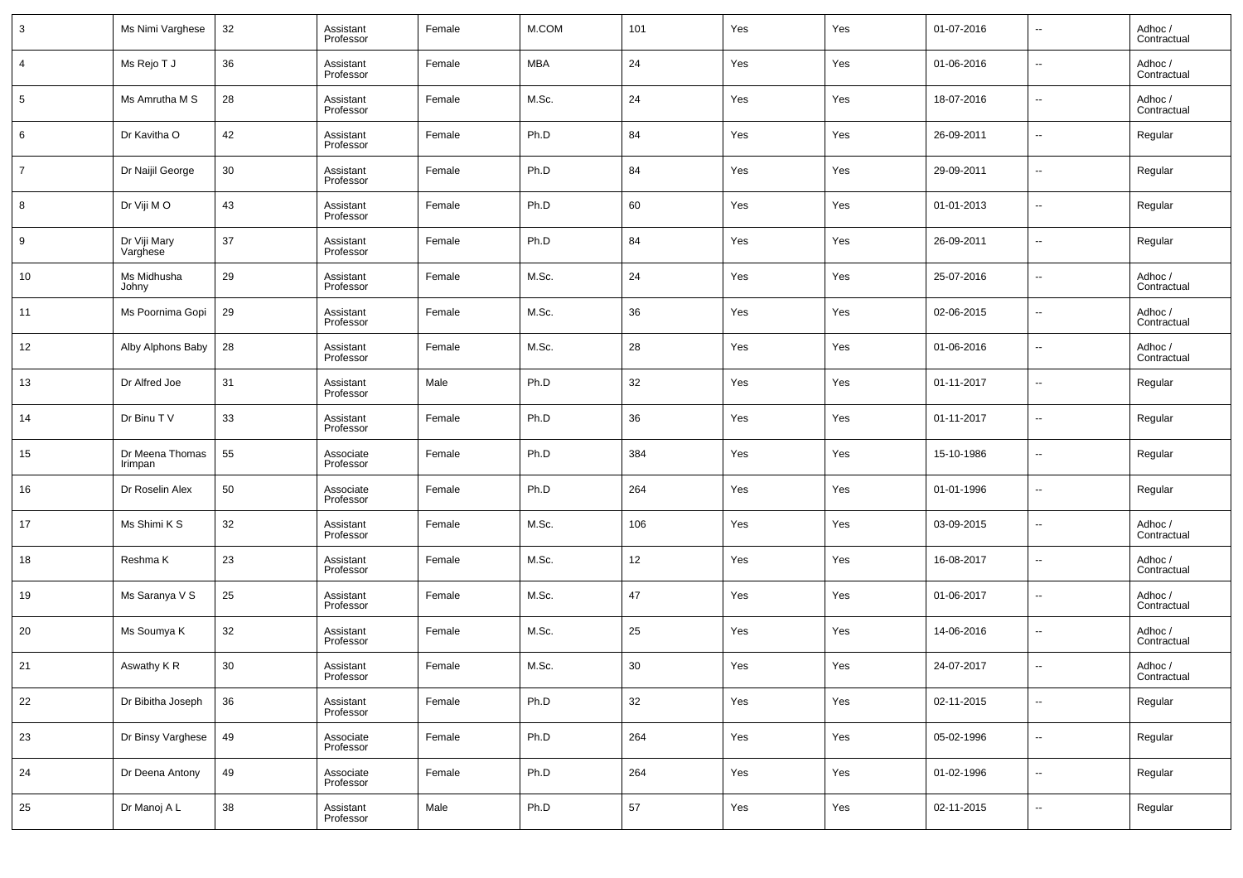| 3  | Ms Nimi Varghese           | 32 | Assistant<br>Professor | Female | M.COM      | 101 | Yes | Yes | 01-07-2016 | $\overline{\phantom{a}}$ | Adhoc /<br>Contractual |
|----|----------------------------|----|------------------------|--------|------------|-----|-----|-----|------------|--------------------------|------------------------|
| 4  | Ms Rejo T J                | 36 | Assistant<br>Professor | Female | <b>MBA</b> | 24  | Yes | Yes | 01-06-2016 | $\overline{\phantom{a}}$ | Adhoc /<br>Contractual |
| 5  | Ms Amrutha M S             | 28 | Assistant<br>Professor | Female | M.Sc.      | 24  | Yes | Yes | 18-07-2016 | $\overline{\phantom{a}}$ | Adhoc /<br>Contractual |
| 6  | Dr Kavitha O               | 42 | Assistant<br>Professor | Female | Ph.D       | 84  | Yes | Yes | 26-09-2011 | $\overline{\phantom{a}}$ | Regular                |
| 7  | Dr Naijil George           | 30 | Assistant<br>Professor | Female | Ph.D       | 84  | Yes | Yes | 29-09-2011 | $\overline{\phantom{a}}$ | Regular                |
| 8  | Dr Viji MO                 | 43 | Assistant<br>Professor | Female | Ph.D       | 60  | Yes | Yes | 01-01-2013 | $\overline{\phantom{a}}$ | Regular                |
| 9  | Dr Viji Mary<br>Varghese   | 37 | Assistant<br>Professor | Female | Ph.D       | 84  | Yes | Yes | 26-09-2011 | $\overline{\phantom{a}}$ | Regular                |
| 10 | Ms Midhusha<br>Johny       | 29 | Assistant<br>Professor | Female | M.Sc.      | 24  | Yes | Yes | 25-07-2016 | $\overline{\phantom{a}}$ | Adhoc /<br>Contractual |
| 11 | Ms Poornima Gopi           | 29 | Assistant<br>Professor | Female | M.Sc.      | 36  | Yes | Yes | 02-06-2015 | $\overline{\phantom{a}}$ | Adhoc /<br>Contractual |
| 12 | Alby Alphons Baby          | 28 | Assistant<br>Professor | Female | M.Sc.      | 28  | Yes | Yes | 01-06-2016 | $\overline{\phantom{a}}$ | Adhoc /<br>Contractual |
| 13 | Dr Alfred Joe              | 31 | Assistant<br>Professor | Male   | Ph.D       | 32  | Yes | Yes | 01-11-2017 | $\overline{\phantom{a}}$ | Regular                |
| 14 | Dr Binu T V                | 33 | Assistant<br>Professor | Female | Ph.D       | 36  | Yes | Yes | 01-11-2017 | $\overline{\phantom{a}}$ | Regular                |
| 15 | Dr Meena Thomas<br>Irimpan | 55 | Associate<br>Professor | Female | Ph.D       | 384 | Yes | Yes | 15-10-1986 | $\overline{\phantom{a}}$ | Regular                |
| 16 | Dr Roselin Alex            | 50 | Associate<br>Professor | Female | Ph.D       | 264 | Yes | Yes | 01-01-1996 | $\overline{\phantom{a}}$ | Regular                |
| 17 | Ms Shimi K S               | 32 | Assistant<br>Professor | Female | M.Sc.      | 106 | Yes | Yes | 03-09-2015 | $\overline{\phantom{a}}$ | Adhoc /<br>Contractual |
| 18 | Reshma K                   | 23 | Assistant<br>Professor | Female | M.Sc.      | 12  | Yes | Yes | 16-08-2017 | $\overline{\phantom{a}}$ | Adhoc /<br>Contractual |
| 19 | Ms Saranya V S             | 25 | Assistant<br>Professor | Female | M.Sc.      | 47  | Yes | Yes | 01-06-2017 | $\overline{\phantom{a}}$ | Adhoc /<br>Contractual |
| 20 | Ms Soumya K                | 32 | Assistant<br>Professor | Female | M.Sc.      | 25  | Yes | Yes | 14-06-2016 | $\overline{\phantom{a}}$ | Adhoc /<br>Contractual |
| 21 | Aswathy K <sub>R</sub>     | 30 | Assistant<br>Professor | Female | M.Sc.      | 30  | Yes | Yes | 24-07-2017 | $\sim$                   | Adhoc /<br>Contractual |
| 22 | Dr Bibitha Joseph          | 36 | Assistant<br>Professor | Female | Ph.D       | 32  | Yes | Yes | 02-11-2015 | $\overline{\phantom{a}}$ | Regular                |
| 23 | Dr Binsy Varghese          | 49 | Associate<br>Professor | Female | Ph.D       | 264 | Yes | Yes | 05-02-1996 | $\overline{\phantom{a}}$ | Regular                |
| 24 | Dr Deena Antony            | 49 | Associate<br>Professor | Female | Ph.D       | 264 | Yes | Yes | 01-02-1996 | $\overline{\phantom{a}}$ | Regular                |
| 25 | Dr Manoj A L               | 38 | Assistant<br>Professor | Male   | Ph.D       | 57  | Yes | Yes | 02-11-2015 | $\overline{\phantom{a}}$ | Regular                |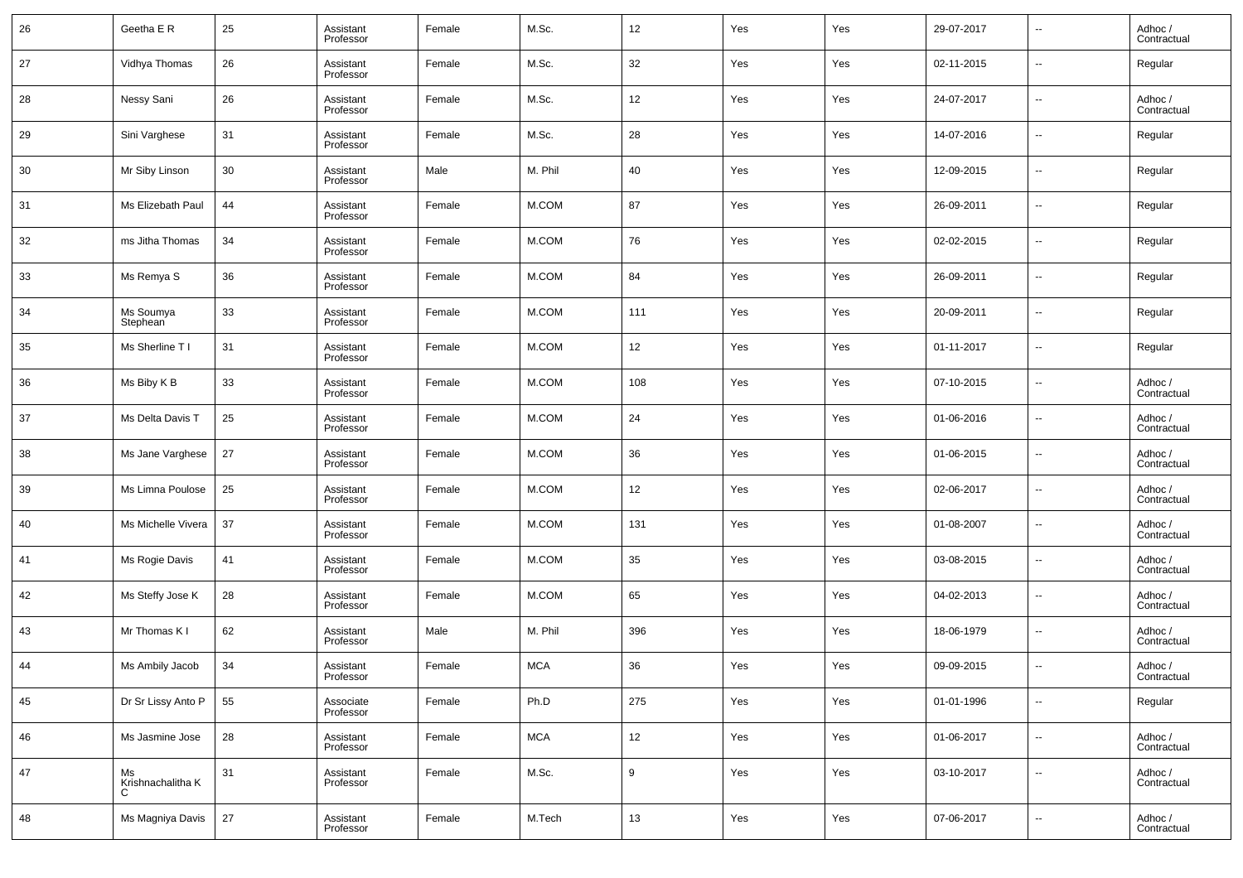| 26 | Geetha E R                   | 25 | Assistant<br>Professor | Female | M.Sc.      | 12  | Yes | Yes | 29-07-2017 | $\overline{\phantom{a}}$ | Adhoc /<br>Contractual |
|----|------------------------------|----|------------------------|--------|------------|-----|-----|-----|------------|--------------------------|------------------------|
| 27 | Vidhya Thomas                | 26 | Assistant<br>Professor | Female | M.Sc.      | 32  | Yes | Yes | 02-11-2015 | $\overline{\phantom{a}}$ | Regular                |
| 28 | Nessy Sani                   | 26 | Assistant<br>Professor | Female | M.Sc.      | 12  | Yes | Yes | 24-07-2017 | $\overline{\phantom{a}}$ | Adhoc /<br>Contractual |
| 29 | Sini Varghese                | 31 | Assistant<br>Professor | Female | M.Sc.      | 28  | Yes | Yes | 14-07-2016 | $\overline{\phantom{a}}$ | Regular                |
| 30 | Mr Siby Linson               | 30 | Assistant<br>Professor | Male   | M. Phil    | 40  | Yes | Yes | 12-09-2015 | $\overline{\phantom{a}}$ | Regular                |
| 31 | Ms Elizebath Paul            | 44 | Assistant<br>Professor | Female | M.COM      | 87  | Yes | Yes | 26-09-2011 | $\overline{\phantom{a}}$ | Regular                |
| 32 | ms Jitha Thomas              | 34 | Assistant<br>Professor | Female | M.COM      | 76  | Yes | Yes | 02-02-2015 | $\overline{\phantom{a}}$ | Regular                |
| 33 | Ms Remya S                   | 36 | Assistant<br>Professor | Female | M.COM      | 84  | Yes | Yes | 26-09-2011 | $\overline{\phantom{a}}$ | Regular                |
| 34 | Ms Soumya<br>Stephean        | 33 | Assistant<br>Professor | Female | M.COM      | 111 | Yes | Yes | 20-09-2011 | $\overline{\phantom{a}}$ | Regular                |
| 35 | Ms Sherline T I              | 31 | Assistant<br>Professor | Female | M.COM      | 12  | Yes | Yes | 01-11-2017 | $\overline{\phantom{a}}$ | Regular                |
| 36 | Ms Biby K B                  | 33 | Assistant<br>Professor | Female | M.COM      | 108 | Yes | Yes | 07-10-2015 | $\overline{\phantom{a}}$ | Adhoc /<br>Contractual |
| 37 | Ms Delta Davis T             | 25 | Assistant<br>Professor | Female | M.COM      | 24  | Yes | Yes | 01-06-2016 | $\overline{\phantom{a}}$ | Adhoc /<br>Contractual |
| 38 | Ms Jane Varghese             | 27 | Assistant<br>Professor | Female | M.COM      | 36  | Yes | Yes | 01-06-2015 | $\overline{\phantom{a}}$ | Adhoc /<br>Contractual |
| 39 | Ms Limna Poulose             | 25 | Assistant<br>Professor | Female | M.COM      | 12  | Yes | Yes | 02-06-2017 | $\overline{\phantom{a}}$ | Adhoc /<br>Contractual |
| 40 | Ms Michelle Vivera           | 37 | Assistant<br>Professor | Female | M.COM      | 131 | Yes | Yes | 01-08-2007 | $\overline{\phantom{a}}$ | Adhoc /<br>Contractual |
| 41 | Ms Rogie Davis               | 41 | Assistant<br>Professor | Female | M.COM      | 35  | Yes | Yes | 03-08-2015 | $\overline{\phantom{a}}$ | Adhoc /<br>Contractual |
| 42 | Ms Steffy Jose K             | 28 | Assistant<br>Professor | Female | M.COM      | 65  | Yes | Yes | 04-02-2013 | $\overline{\phantom{a}}$ | Adhoc /<br>Contractual |
| 43 | Mr Thomas K I                | 62 | Assistant<br>Professor | Male   | M. Phil    | 396 | Yes | Yes | 18-06-1979 | $\overline{\phantom{a}}$ | Adhoc /<br>Contractual |
| 44 | Ms Ambily Jacob              | 34 | Assistant<br>Professor | Female | <b>MCA</b> | 36  | Yes | Yes | 09-09-2015 | $\overline{\phantom{a}}$ | Adhoc /<br>Contractual |
| 45 | Dr Sr Lissy Anto P           | 55 | Associate<br>Professor | Female | Ph.D       | 275 | Yes | Yes | 01-01-1996 | $\sim$                   | Regular                |
| 46 | Ms Jasmine Jose              | 28 | Assistant<br>Professor | Female | <b>MCA</b> | 12  | Yes | Yes | 01-06-2017 | $\sim$                   | Adhoc /<br>Contractual |
| 47 | Ms<br>Krishnachalitha K<br>C | 31 | Assistant<br>Professor | Female | M.Sc.      | 9   | Yes | Yes | 03-10-2017 | $\sim$                   | Adhoc /<br>Contractual |
| 48 | Ms Magniya Davis             | 27 | Assistant<br>Professor | Female | M.Tech     | 13  | Yes | Yes | 07-06-2017 | $\sim$                   | Adhoc /<br>Contractual |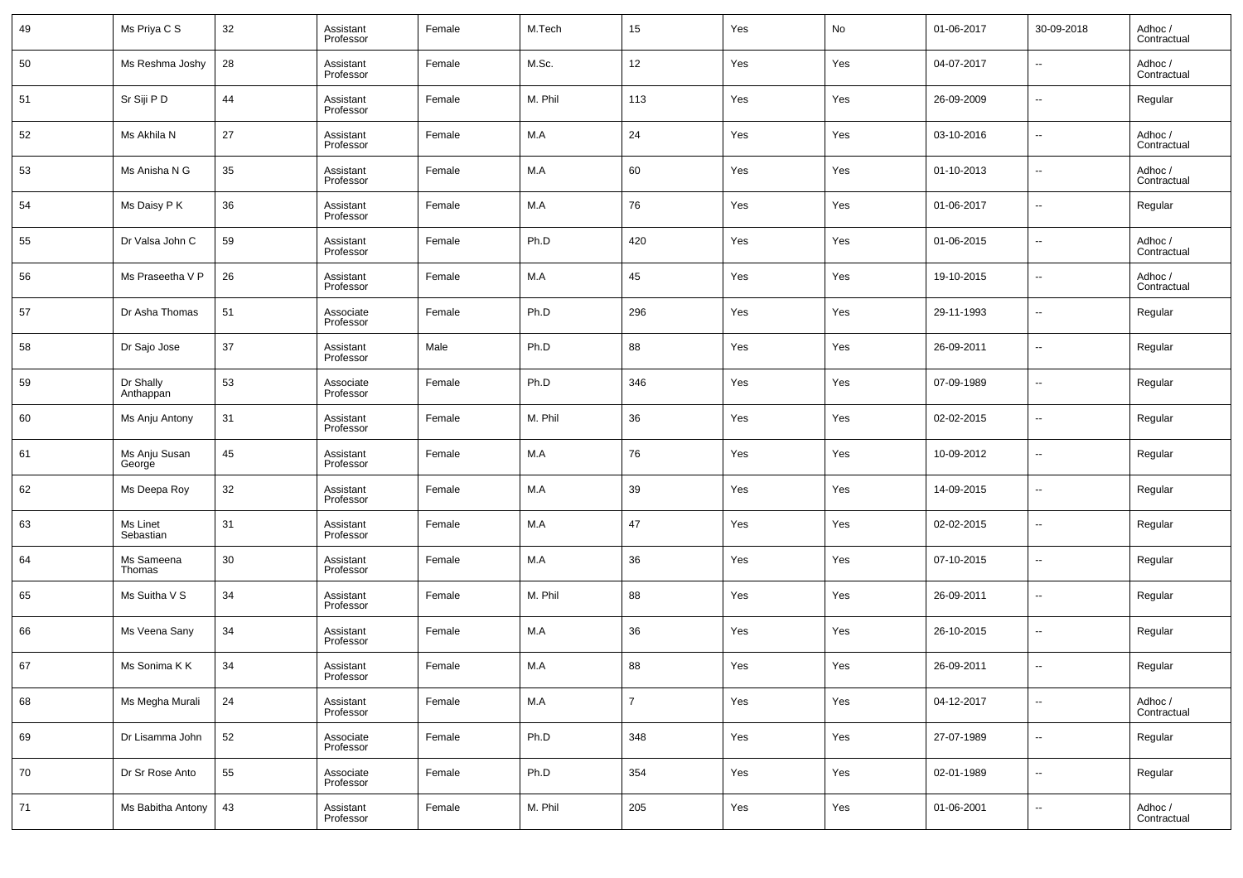| 49 | Ms Priya C S            | 32 | Assistant<br>Professor | Female | M.Tech  | 15             | Yes | No  | 01-06-2017 | 30-09-2018               | Adhoc /<br>Contractual |
|----|-------------------------|----|------------------------|--------|---------|----------------|-----|-----|------------|--------------------------|------------------------|
| 50 | Ms Reshma Joshy         | 28 | Assistant<br>Professor | Female | M.Sc.   | 12             | Yes | Yes | 04-07-2017 | $\overline{\phantom{a}}$ | Adhoc /<br>Contractual |
| 51 | Sr Siji P D             | 44 | Assistant<br>Professor | Female | M. Phil | 113            | Yes | Yes | 26-09-2009 | $\overline{\phantom{a}}$ | Regular                |
| 52 | Ms Akhila N             | 27 | Assistant<br>Professor | Female | M.A     | 24             | Yes | Yes | 03-10-2016 | $\overline{\phantom{a}}$ | Adhoc /<br>Contractual |
| 53 | Ms Anisha N G           | 35 | Assistant<br>Professor | Female | M.A     | 60             | Yes | Yes | 01-10-2013 | $\overline{\phantom{a}}$ | Adhoc /<br>Contractual |
| 54 | Ms Daisy P K            | 36 | Assistant<br>Professor | Female | M.A     | 76             | Yes | Yes | 01-06-2017 | $\overline{\phantom{a}}$ | Regular                |
| 55 | Dr Valsa John C         | 59 | Assistant<br>Professor | Female | Ph.D    | 420            | Yes | Yes | 01-06-2015 | $\overline{\phantom{a}}$ | Adhoc /<br>Contractual |
| 56 | Ms Praseetha V P        | 26 | Assistant<br>Professor | Female | M.A     | 45             | Yes | Yes | 19-10-2015 | $\overline{\phantom{a}}$ | Adhoc /<br>Contractual |
| 57 | Dr Asha Thomas          | 51 | Associate<br>Professor | Female | Ph.D    | 296            | Yes | Yes | 29-11-1993 | $\overline{\phantom{a}}$ | Regular                |
| 58 | Dr Sajo Jose            | 37 | Assistant<br>Professor | Male   | Ph.D    | 88             | Yes | Yes | 26-09-2011 | $\overline{\phantom{a}}$ | Regular                |
| 59 | Dr Shally<br>Anthappan  | 53 | Associate<br>Professor | Female | Ph.D    | 346            | Yes | Yes | 07-09-1989 | $\overline{\phantom{a}}$ | Regular                |
| 60 | Ms Anju Antony          | 31 | Assistant<br>Professor | Female | M. Phil | 36             | Yes | Yes | 02-02-2015 | $\overline{\phantom{a}}$ | Regular                |
| 61 | Ms Anju Susan<br>George | 45 | Assistant<br>Professor | Female | M.A     | 76             | Yes | Yes | 10-09-2012 | $\overline{\phantom{a}}$ | Regular                |
| 62 | Ms Deepa Roy            | 32 | Assistant<br>Professor | Female | M.A     | 39             | Yes | Yes | 14-09-2015 | $\overline{\phantom{a}}$ | Regular                |
| 63 | Ms Linet<br>Sebastian   | 31 | Assistant<br>Professor | Female | M.A     | 47             | Yes | Yes | 02-02-2015 | $\overline{\phantom{a}}$ | Regular                |
| 64 | Ms Sameena<br>Thomas    | 30 | Assistant<br>Professor | Female | M.A     | 36             | Yes | Yes | 07-10-2015 | $\overline{\phantom{a}}$ | Regular                |
| 65 | Ms Suitha V S           | 34 | Assistant<br>Professor | Female | M. Phil | 88             | Yes | Yes | 26-09-2011 | $\overline{\phantom{a}}$ | Regular                |
| 66 | Ms Veena Sany           | 34 | Assistant<br>Professor | Female | M.A     | 36             | Yes | Yes | 26-10-2015 | $\overline{\phantom{a}}$ | Regular                |
| 67 | Ms Sonima K K           | 34 | Assistant<br>Professor | Female | M.A     | 88             | Yes | Yes | 26-09-2011 | $\overline{\phantom{a}}$ | Regular                |
| 68 | Ms Megha Murali         | 24 | Assistant<br>Professor | Female | M.A     | $\overline{7}$ | Yes | Yes | 04-12-2017 | $\overline{\phantom{a}}$ | Adhoc /<br>Contractual |
| 69 | Dr Lisamma John         | 52 | Associate<br>Professor | Female | Ph.D    | 348            | Yes | Yes | 27-07-1989 | $\overline{\phantom{a}}$ | Regular                |
| 70 | Dr Sr Rose Anto         | 55 | Associate<br>Professor | Female | Ph.D    | 354            | Yes | Yes | 02-01-1989 | $\overline{\phantom{a}}$ | Regular                |
| 71 | Ms Babitha Antony       | 43 | Assistant<br>Professor | Female | M. Phil | 205            | Yes | Yes | 01-06-2001 | $\overline{\phantom{a}}$ | Adhoc /<br>Contractual |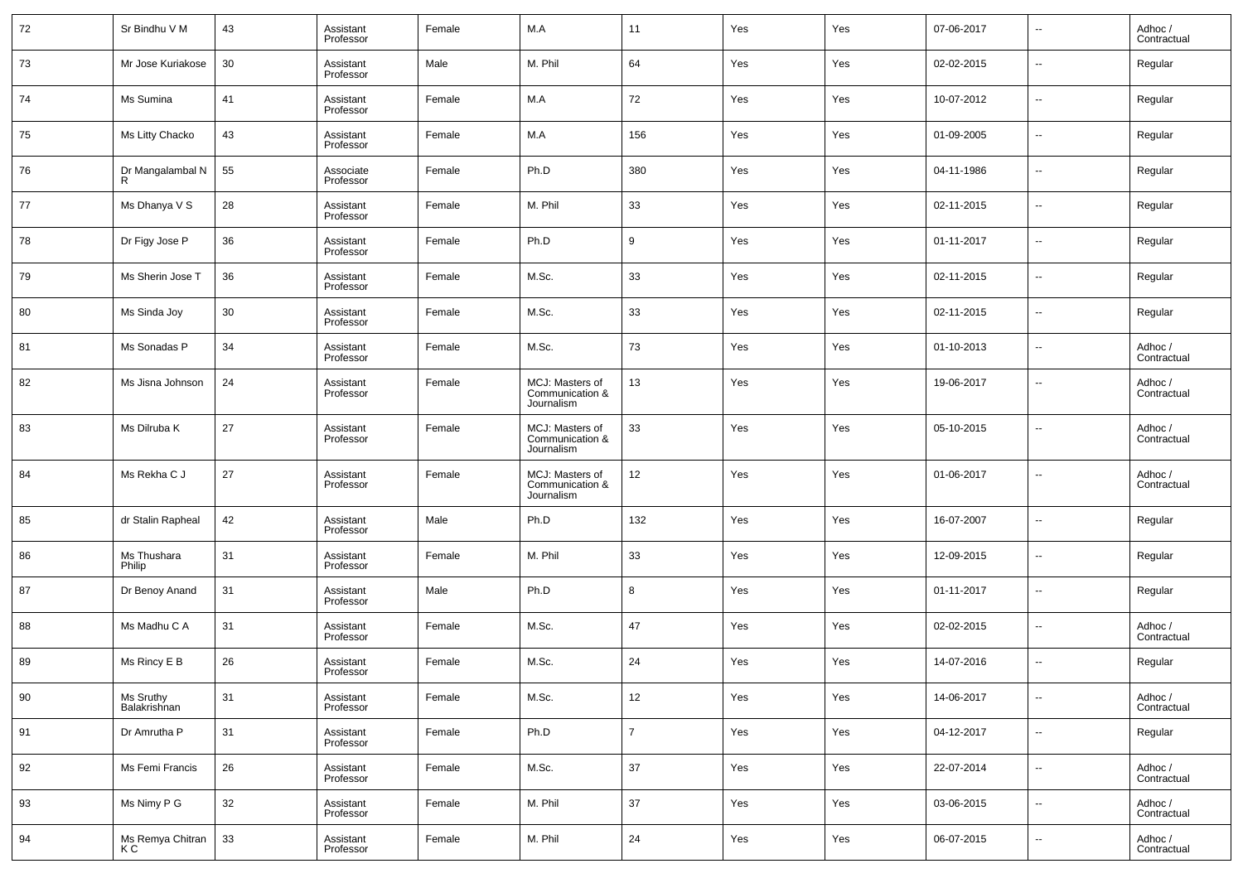| 72 | Sr Bindhu V M             | 43 | Assistant<br>Professor | Female | M.A                                              | 11             | Yes | Yes | 07-06-2017 | --                       | Adhoc /<br>Contractual |
|----|---------------------------|----|------------------------|--------|--------------------------------------------------|----------------|-----|-----|------------|--------------------------|------------------------|
| 73 | Mr Jose Kuriakose         | 30 | Assistant<br>Professor | Male   | M. Phil                                          | 64             | Yes | Yes | 02-02-2015 | --                       | Regular                |
| 74 | Ms Sumina                 | 41 | Assistant<br>Professor | Female | M.A                                              | 72             | Yes | Yes | 10-07-2012 | ш.                       | Regular                |
| 75 | Ms Litty Chacko           | 43 | Assistant<br>Professor | Female | M.A                                              | 156            | Yes | Yes | 01-09-2005 | --                       | Regular                |
| 76 | Dr Mangalambal N          | 55 | Associate<br>Professor | Female | Ph.D                                             | 380            | Yes | Yes | 04-11-1986 | ш.                       | Regular                |
| 77 | Ms Dhanya V S             | 28 | Assistant<br>Professor | Female | M. Phil                                          | 33             | Yes | Yes | 02-11-2015 | --                       | Regular                |
| 78 | Dr Figy Jose P            | 36 | Assistant<br>Professor | Female | Ph.D                                             | 9              | Yes | Yes | 01-11-2017 | ш.                       | Regular                |
| 79 | Ms Sherin Jose T          | 36 | Assistant<br>Professor | Female | M.Sc.                                            | 33             | Yes | Yes | 02-11-2015 | --                       | Regular                |
| 80 | Ms Sinda Joy              | 30 | Assistant<br>Professor | Female | M.Sc.                                            | 33             | Yes | Yes | 02-11-2015 | ш.                       | Regular                |
| 81 | Ms Sonadas P              | 34 | Assistant<br>Professor | Female | M.Sc.                                            | 73             | Yes | Yes | 01-10-2013 | --                       | Adhoc /<br>Contractual |
| 82 | Ms Jisna Johnson          | 24 | Assistant<br>Professor | Female | MCJ: Masters of<br>Communication &<br>Journalism | 13             | Yes | Yes | 19-06-2017 | --                       | Adhoc /<br>Contractual |
| 83 | Ms Dilruba K              | 27 | Assistant<br>Professor | Female | MCJ: Masters of<br>Communication &<br>Journalism | 33             | Yes | Yes | 05-10-2015 | --                       | Adhoc /<br>Contractual |
| 84 | Ms Rekha C J              | 27 | Assistant<br>Professor | Female | MCJ: Masters of<br>Communication &<br>Journalism | 12             | Yes | Yes | 01-06-2017 | --                       | Adhoc /<br>Contractual |
| 85 | dr Stalin Rapheal         | 42 | Assistant<br>Professor | Male   | Ph.D                                             | 132            | Yes | Yes | 16-07-2007 | --                       | Regular                |
| 86 | Ms Thushara<br>Philip     | 31 | Assistant<br>Professor | Female | M. Phil                                          | 33             | Yes | Yes | 12-09-2015 | --                       | Regular                |
| 87 | Dr Benoy Anand            | 31 | Assistant<br>Professor | Male   | Ph.D                                             | 8              | Yes | Yes | 01-11-2017 | $\sim$                   | Regular                |
| 88 | Ms Madhu C A              | 31 | Assistant<br>Professor | Female | M.Sc.                                            | 47             | Yes | Yes | 02-02-2015 | --                       | Adhoc /<br>Contractual |
| 89 | Ms Rincy E B              | 26 | Assistant<br>Professor | Female | M.Sc.                                            | 24             | Yes | Yes | 14-07-2016 | --                       | Regular                |
| 90 | Ms Sruthy<br>Balakrishnan | 31 | Assistant<br>Professor | Female | M.Sc.                                            | 12             | Yes | Yes | 14-06-2017 | --                       | Adhoc /<br>Contractual |
| 91 | Dr Amrutha P              | 31 | Assistant<br>Professor | Female | Ph.D                                             | $\overline{7}$ | Yes | Yes | 04-12-2017 | $\overline{\phantom{a}}$ | Regular                |
| 92 | Ms Femi Francis           | 26 | Assistant<br>Professor | Female | M.Sc.                                            | 37             | Yes | Yes | 22-07-2014 | $\overline{\phantom{a}}$ | Adhoc /<br>Contractual |
| 93 | Ms Nimy P G               | 32 | Assistant<br>Professor | Female | M. Phil                                          | 37             | Yes | Yes | 03-06-2015 | $\overline{\phantom{a}}$ | Adhoc /<br>Contractual |
| 94 | Ms Remya Chitran<br>K C   | 33 | Assistant<br>Professor | Female | M. Phil                                          | 24             | Yes | Yes | 06-07-2015 | --                       | Adhoc /<br>Contractual |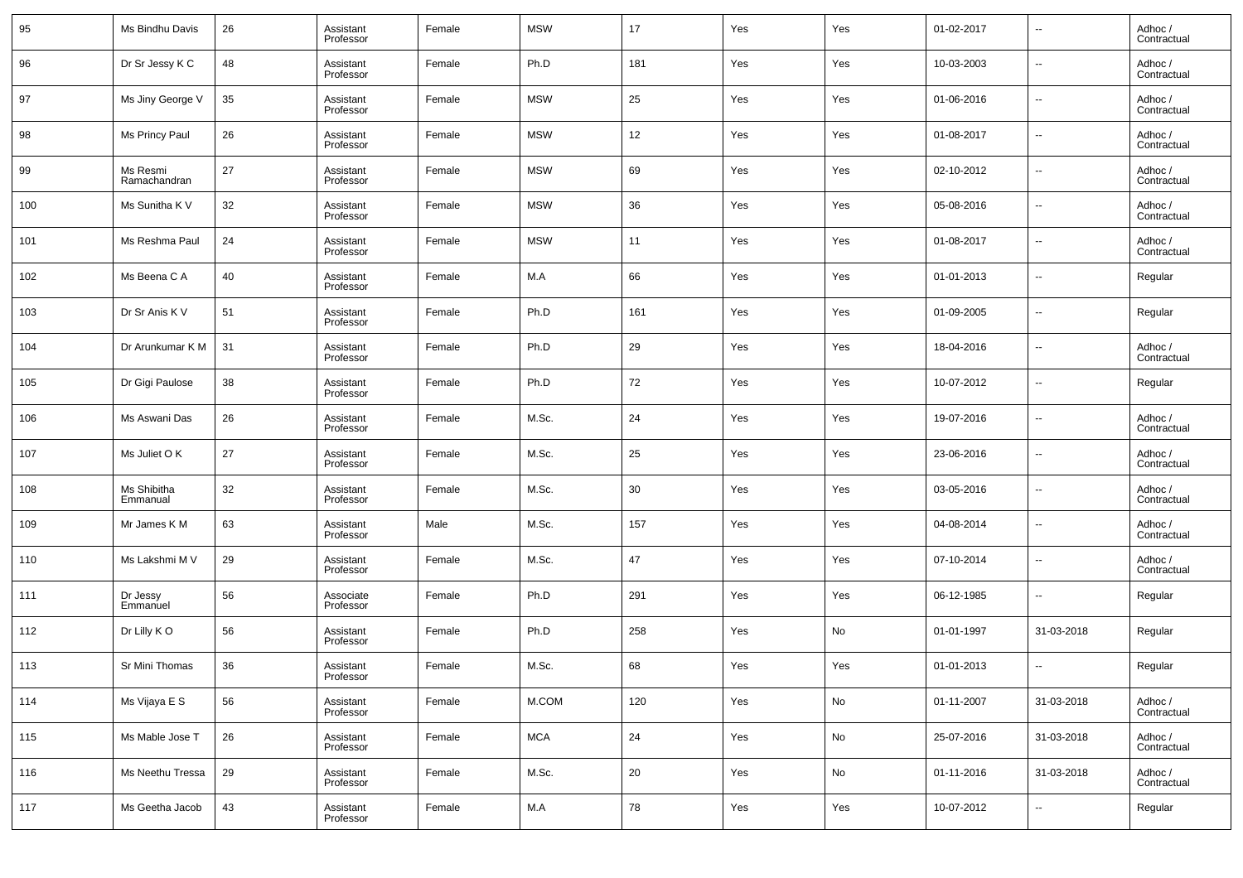| 95  | Ms Bindhu Davis          | 26 | Assistant<br>Professor | Female | <b>MSW</b> | 17  | Yes | Yes | 01-02-2017 | $\overline{\phantom{a}}$ | Adhoc /<br>Contractual |
|-----|--------------------------|----|------------------------|--------|------------|-----|-----|-----|------------|--------------------------|------------------------|
| 96  | Dr Sr Jessy K C          | 48 | Assistant<br>Professor | Female | Ph.D       | 181 | Yes | Yes | 10-03-2003 | $\overline{\phantom{a}}$ | Adhoc /<br>Contractual |
| 97  | Ms Jiny George V         | 35 | Assistant<br>Professor | Female | <b>MSW</b> | 25  | Yes | Yes | 01-06-2016 | $\overline{\phantom{a}}$ | Adhoc /<br>Contractual |
| 98  | Ms Princy Paul           | 26 | Assistant<br>Professor | Female | <b>MSW</b> | 12  | Yes | Yes | 01-08-2017 | $\overline{\phantom{a}}$ | Adhoc /<br>Contractual |
| 99  | Ms Resmi<br>Ramachandran | 27 | Assistant<br>Professor | Female | <b>MSW</b> | 69  | Yes | Yes | 02-10-2012 | $\overline{\phantom{a}}$ | Adhoc /<br>Contractual |
| 100 | Ms Sunitha K V           | 32 | Assistant<br>Professor | Female | <b>MSW</b> | 36  | Yes | Yes | 05-08-2016 | $\overline{\phantom{a}}$ | Adhoc /<br>Contractual |
| 101 | Ms Reshma Paul           | 24 | Assistant<br>Professor | Female | <b>MSW</b> | 11  | Yes | Yes | 01-08-2017 | $\overline{\phantom{a}}$ | Adhoc /<br>Contractual |
| 102 | Ms Beena C A             | 40 | Assistant<br>Professor | Female | M.A        | 66  | Yes | Yes | 01-01-2013 | $\overline{\phantom{a}}$ | Regular                |
| 103 | Dr Sr Anis K V           | 51 | Assistant<br>Professor | Female | Ph.D       | 161 | Yes | Yes | 01-09-2005 | $\overline{\phantom{a}}$ | Regular                |
| 104 | Dr Arunkumar K M         | 31 | Assistant<br>Professor | Female | Ph.D       | 29  | Yes | Yes | 18-04-2016 | $\overline{\phantom{a}}$ | Adhoc /<br>Contractual |
| 105 | Dr Gigi Paulose          | 38 | Assistant<br>Professor | Female | Ph.D       | 72  | Yes | Yes | 10-07-2012 | $\overline{\phantom{a}}$ | Regular                |
| 106 | Ms Aswani Das            | 26 | Assistant<br>Professor | Female | M.Sc.      | 24  | Yes | Yes | 19-07-2016 | $\overline{\phantom{a}}$ | Adhoc /<br>Contractual |
| 107 | Ms Juliet O K            | 27 | Assistant<br>Professor | Female | M.Sc.      | 25  | Yes | Yes | 23-06-2016 | $\overline{\phantom{a}}$ | Adhoc /<br>Contractual |
| 108 | Ms Shibitha<br>Emmanual  | 32 | Assistant<br>Professor | Female | M.Sc.      | 30  | Yes | Yes | 03-05-2016 | $\overline{\phantom{a}}$ | Adhoc /<br>Contractual |
| 109 | Mr James K M             | 63 | Assistant<br>Professor | Male   | M.Sc.      | 157 | Yes | Yes | 04-08-2014 | $\overline{\phantom{a}}$ | Adhoc /<br>Contractual |
| 110 | Ms Lakshmi M V           | 29 | Assistant<br>Professor | Female | M.Sc.      | 47  | Yes | Yes | 07-10-2014 | $\overline{\phantom{a}}$ | Adhoc /<br>Contractual |
| 111 | Dr Jessy<br>Emmanuel     | 56 | Associate<br>Professor | Female | Ph.D       | 291 | Yes | Yes | 06-12-1985 | $\overline{\phantom{a}}$ | Regular                |
| 112 | Dr Lilly KO              | 56 | Assistant<br>Professor | Female | Ph.D       | 258 | Yes | No  | 01-01-1997 | 31-03-2018               | Regular                |
| 113 | Sr Mini Thomas           | 36 | Assistant<br>Professor | Female | M.Sc.      | 68  | Yes | Yes | 01-01-2013 | $\overline{\phantom{a}}$ | Regular                |
| 114 | Ms Vijaya E S            | 56 | Assistant<br>Professor | Female | M.COM      | 120 | Yes | No  | 01-11-2007 | 31-03-2018               | Adhoc /<br>Contractual |
| 115 | Ms Mable Jose T          | 26 | Assistant<br>Professor | Female | <b>MCA</b> | 24  | Yes | No  | 25-07-2016 | 31-03-2018               | Adhoc /<br>Contractual |
| 116 | Ms Neethu Tressa         | 29 | Assistant<br>Professor | Female | M.Sc.      | 20  | Yes | No  | 01-11-2016 | 31-03-2018               | Adhoc /<br>Contractual |
| 117 | Ms Geetha Jacob          | 43 | Assistant<br>Professor | Female | M.A        | 78  | Yes | Yes | 10-07-2012 | $\overline{\phantom{a}}$ | Regular                |